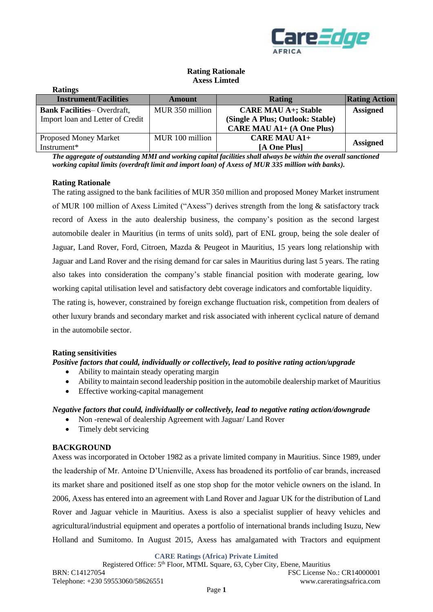

# **Rating Rationale Axess Limted**

| <b>Ratings</b>                    |                 |                                  |                      |
|-----------------------------------|-----------------|----------------------------------|----------------------|
| <b>Instrument/Facilities</b>      | Amount          | Rating                           | <b>Rating Action</b> |
| <b>Bank Facilities-Overdraft,</b> | MUR 350 million | <b>CARE MAU A+; Stable</b>       | <b>Assigned</b>      |
| Import loan and Letter of Credit  |                 | (Single A Plus; Outlook: Stable) |                      |
|                                   |                 | <b>CARE MAU A1+ (A One Plus)</b> |                      |
| <b>Proposed Money Market</b>      | MUR 100 million | <b>CARE MAU A1+</b>              |                      |
| Instrument*                       |                 | [A One Plus]                     | <b>Assigned</b>      |

*The aggregate of outstanding MMI and working capital facilities shall always be within the overall sanctioned working capital limits (overdraft limit and import loan) of Axess of MUR 335 million with banks).*

## **Rating Rationale**

The rating assigned to the bank facilities of MUR 350 million and proposed Money Market instrument of MUR 100 million of Axess Limited ("Axess") derives strength from the long & satisfactory track record of Axess in the auto dealership business, the company's position as the second largest automobile dealer in Mauritius (in terms of units sold), part of ENL group, being the sole dealer of Jaguar, Land Rover, Ford, Citroen, Mazda & Peugeot in Mauritius, 15 years long relationship with Jaguar and Land Rover and the rising demand for car sales in Mauritius during last 5 years. The rating also takes into consideration the company's stable financial position with moderate gearing, low working capital utilisation level and satisfactory debt coverage indicators and comfortable liquidity.

The rating is, however, constrained by foreign exchange fluctuation risk, competition from dealers of other luxury brands and secondary market and risk associated with inherent cyclical nature of demand in the automobile sector.

## **Rating sensitivities**

## *Positive factors that could, individually or collectively, lead to positive rating action/upgrade*

- Ability to maintain steady operating margin
- Ability to maintain second leadership position in the automobile dealership market of Mauritius
- Effective working-capital management

## *Negative factors that could, individually or collectively, lead to negative rating action/downgrade*

- Non -renewal of dealership Agreement with Jaguar/ Land Rover
- Timely debt servicing

# **BACKGROUND**

Axess was incorporated in October 1982 as a private limited company in Mauritius. Since 1989, under the leadership of Mr. Antoine D'Unienville, Axess has broadened its portfolio of car brands, increased its market share and positioned itself as one stop shop for the motor vehicle owners on the island. In 2006, Axess has entered into an agreement with Land Rover and Jaguar UK for the distribution of Land Rover and Jaguar vehicle in Mauritius. Axess is also a specialist supplier of heavy vehicles and agricultural/industrial equipment and operates a portfolio of international brands including Isuzu, New Holland and Sumitomo. In August 2015, Axess has amalgamated with Tractors and equipment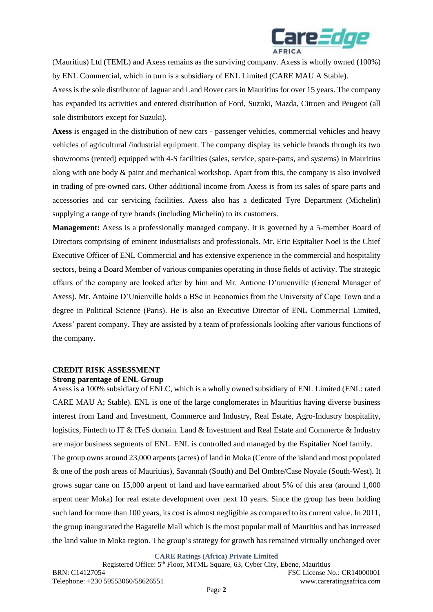

(Mauritius) Ltd (TEML) and Axess remains as the surviving company. Axess is wholly owned (100%) by ENL Commercial, which in turn is a subsidiary of ENL Limited (CARE MAU A Stable).

Axess is the sole distributor of Jaguar and Land Rover cars in Mauritius for over 15 years. The company has expanded its activities and entered distribution of Ford, Suzuki, Mazda, Citroen and Peugeot (all sole distributors except for Suzuki).

**Axess** is engaged in the distribution of new cars - passenger vehicles, commercial vehicles and heavy vehicles of agricultural /industrial equipment. The company display its vehicle brands through its two showrooms (rented) equipped with 4-S facilities (sales, service, spare-parts, and systems) in Mauritius along with one body & paint and mechanical workshop. Apart from this, the company is also involved in trading of pre-owned cars. Other additional income from Axess is from its sales of spare parts and accessories and car servicing facilities. Axess also has a dedicated Tyre Department (Michelin) supplying a range of tyre brands (including Michelin) to its customers.

**Management:** Axess is a professionally managed company. It is governed by a 5-member Board of Directors comprising of eminent industrialists and professionals. Mr. Eric Espitalier Noel is the Chief Executive Officer of ENL Commercial and has extensive experience in the commercial and hospitality sectors, being a Board Member of various companies operating in those fields of activity. The strategic affairs of the company are looked after by him and Mr. Antione D'unienville (General Manager of Axess). Mr. Antoine D'Unienville holds a BSc in Economics from the University of Cape Town and a degree in Political Science (Paris). He is also an Executive Director of ENL Commercial Limited, Axess' parent company. They are assisted by a team of professionals looking after various functions of the company.

# **CREDIT RISK ASSESSMENT**

#### **Strong parentage of ENL Group**

Axess is a 100% subsidiary of ENLC, which is a wholly owned subsidiary of ENL Limited (ENL: rated CARE MAU A; Stable). ENL is one of the large conglomerates in Mauritius having diverse business interest from Land and Investment, Commerce and Industry, Real Estate, Agro-Industry hospitality, logistics, Fintech to IT & ITeS domain. Land & Investment and Real Estate and Commerce & Industry are major business segments of ENL. ENL is controlled and managed by the Espitalier Noel family.

The group owns around 23,000 arpents (acres) of land in Moka (Centre of the island and most populated & one of the posh areas of Mauritius), Savannah (South) and Bel Ombre/Case Noyale (South-West). It grows sugar cane on 15,000 arpent of land and have earmarked about 5% of this area (around 1,000 arpent near Moka) for real estate development over next 10 years. Since the group has been holding such land for more than 100 years, its cost is almost negligible as compared to its current value. In 2011, the group inaugurated the Bagatelle Mall which is the most popular mall of Mauritius and has increased the land value in Moka region. The group's strategy for growth has remained virtually unchanged over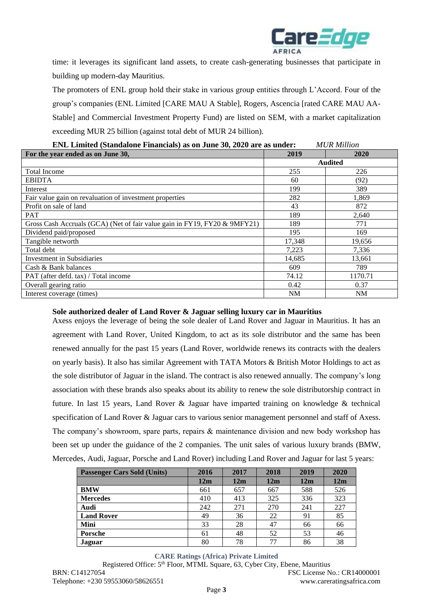

time: it leverages its significant land assets, to create cash-generating businesses that participate in building up modern-day Mauritius.

The promoters of ENL group hold their stake in various group entities through L'Accord. Four of the group's companies (ENL Limited [CARE MAU A Stable], Rogers, Ascencia [rated CARE MAU AA-Stable] and Commercial Investment Property Fund) are listed on SEM, with a market capitalization exceeding MUR 25 billion (against total debt of MUR 24 billion).

| EINE EMMEG (Standarone Financials) as on June 50, 2020 are as under:<br>MUK MIIIION |                |         |  |  |  |
|-------------------------------------------------------------------------------------|----------------|---------|--|--|--|
| For the year ended as on June 30,                                                   | 2019           | 2020    |  |  |  |
|                                                                                     | <b>Audited</b> |         |  |  |  |
| <b>Total Income</b>                                                                 | 255            | 226     |  |  |  |
| <b>EBIDTA</b>                                                                       | 60             | (92)    |  |  |  |
| Interest                                                                            | 199            | 389     |  |  |  |
| Fair value gain on revaluation of investment properties                             | 282            | 1.869   |  |  |  |
| Profit on sale of land                                                              | 43             | 872     |  |  |  |
| <b>PAT</b>                                                                          | 189            | 2,640   |  |  |  |
| Gross Cash Accruals (GCA) (Net of fair value gain in FY19, FY20 & 9MFY21)           | 189            | 771     |  |  |  |
| Dividend paid/proposed                                                              | 195            | 169     |  |  |  |
| Tangible networth                                                                   | 17,348         | 19,656  |  |  |  |
| Total debt                                                                          | 7,223          | 7,336   |  |  |  |
| <b>Investment</b> in Subsidiaries                                                   | 14,685         | 13,661  |  |  |  |
| Cash & Bank balances                                                                | 609            | 789     |  |  |  |
| PAT (after defd. tax) / Total income                                                | 74.12          | 1170.71 |  |  |  |
| Overall gearing ratio                                                               | 0.42           | 0.37    |  |  |  |
| Interest coverage (times)                                                           | NM             | NM      |  |  |  |

# **ENL Limited (Standalone Financials) as on June 30, 2020 are as under:** *MUR Million*

## **Sole authorized dealer of Land Rover & Jaguar selling luxury car in Mauritius**

Axess enjoys the leverage of being the sole dealer of Land Rover and Jaguar in Mauritius. It has an agreement with Land Rover, United Kingdom, to act as its sole distributor and the same has been renewed annually for the past 15 years (Land Rover, worldwide renews its contracts with the dealers on yearly basis). It also has similar Agreement with TATA Motors & British Motor Holdings to act as the sole distributor of Jaguar in the island. The contract is also renewed annually. The company's long association with these brands also speaks about its ability to renew the sole distributorship contract in future. In last 15 years, Land Rover & Jaguar have imparted training on knowledge & technical specification of Land Rover & Jaguar cars to various senior management personnel and staff of Axess. The company's showroom, spare parts, repairs & maintenance division and new body workshop has been set up under the guidance of the 2 companies. The unit sales of various luxury brands (BMW, Mercedes, Audi, Jaguar, Porsche and Land Rover) including Land Rover and Jaguar for last 5 years:

| <b>Passenger Cars Sold (Units)</b> | 2016 | 2017 | 2018 | 2019 | 2020 |
|------------------------------------|------|------|------|------|------|
|                                    | 12m  | 12m  | 12m  | 12m  | 12m  |
| <b>BMW</b>                         | 661  | 657  | 667  | 588  | 526  |
| <b>Mercedes</b>                    | 410  | 413  | 325  | 336  | 323  |
| Audi                               | 242  | 271  | 270  | 241  | 227  |
| <b>Land Rover</b>                  | 49   | 36   | 22   | 91   | 85   |
| Mini                               | 33   | 28   | 47   | 66   | 66   |
| Porsche                            | 61   | 48   | 52   | 53   | 46   |
| Jaguar                             | 80   | 78   | 77   | 86   | 38   |

# **CARE Ratings (Africa) Private Limited**

Registered Office: 5<sup>th</sup> Floor, MTML Square, 63, Cyber City, Ebene, Mauritius BRN: C14127054 FSC License No.: CR14000001 Telephone: +230 59553060/58626551 www.careratingsafrica.com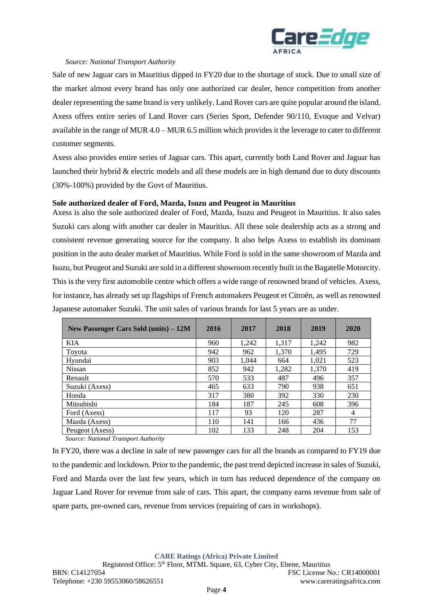

#### *Source: National Transport Authority*

Sale of new Jaguar cars in Mauritius dipped in FY20 due to the shortage of stock. Due to small size of the market almost every brand has only one authorized car dealer, hence competition from another dealer representing the same brand is very unlikely. Land Rover cars are quite popular around the island. Axess offers entire series of Land Rover cars (Series Sport, Defender 90/110, Evoque and Velvar) available in the range of MUR 4.0 – MUR 6.5 million which provides it the leverage to cater to different customer segments.

Axess also provides entire series of Jaguar cars. This apart, currently both Land Rover and Jaguar has launched their hybrid & electric models and all these models are in high demand due to duty discounts (30%-100%) provided by the Govt of Mauritius.

## **Sole authorized dealer of Ford, Mazda, Isuzu and Peugeot in Mauritius**

Axess is also the sole authorized dealer of Ford, Mazda, Isuzu and Peugeot in Mauritius. It also sales Suzuki cars along with another car dealer in Mauritius. All these sole dealership acts as a strong and consistent revenue generating source for the company. It also helps Axess to establish its dominant position in the auto dealer market of Mauritius. While Ford is sold in the same showroom of Mazda and Isuzu, but Peugeot and Suzuki are sold in a different showroom recently built in the Bagatelle Motorcity. This is the very first automobile centre which offers a wide range of renowned brand of vehicles. Axess, for instance, has already set up flagships of French automakers Peugeot et Citroën, as well as renowned Japanese automaker Suzuki. The unit sales of various brands for last 5 years are as under.

| New Passenger Cars Sold (units) – 12M | 2016 | 2017  | 2018  | 2019  | 2020 |
|---------------------------------------|------|-------|-------|-------|------|
| <b>KIA</b>                            | 960  | 1.242 | 1,317 | 1.242 | 982  |
| Toyota                                | 942  | 962   | 1,370 | 1.495 | 729  |
| Hvundai                               | 903  | 1.044 | 664   | 1,021 | 523  |
| <b>Nissan</b>                         | 852  | 942   | 1,282 | 1,370 | 419  |
| Renault                               | 570  | 533   | 487   | 496   | 357  |
| Suzuki (Axess)                        | 465  | 633   | 790   | 938   | 651  |
| Honda                                 | 317  | 380   | 392   | 330   | 230  |
| Mitsubishi                            | 184  | 187   | 245   | 608   | 396  |
| Ford (Axess)                          | 117  | 93    | 120   | 287   | 4    |
| Mazda (Axess)                         | 110  | 141   | 166   | 436   | 77   |
| Peugeot (Axess)                       | 102  | 133   | 248   | 204   | 153  |

*Source: National Transport Authority*

In FY20, there was a decline in sale of new passenger cars for all the brands as compared to FY19 due to the pandemic and lockdown. Prior to the pandemic, the past trend depicted increase in sales of Suzuki, Ford and Mazda over the last few years, which in turn has reduced dependence of the company on Jaguar Land Rover for revenue from sale of cars. This apart, the company earns revenue from sale of spare parts, pre-owned cars, revenue from services (repairing of cars in workshops).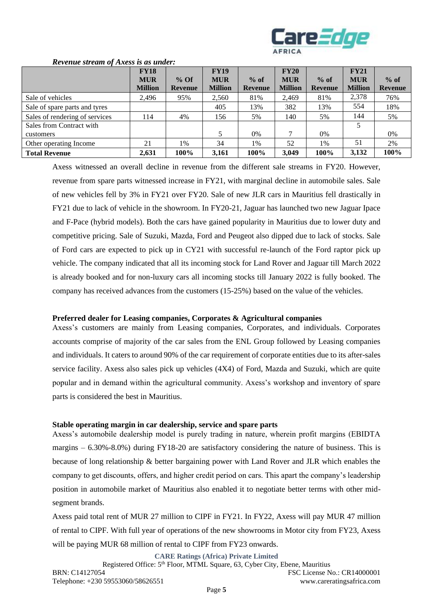

|                                | <b>FY18</b>    |                | <b>FY19</b>    |                | FY20           |                | FY21           |                |
|--------------------------------|----------------|----------------|----------------|----------------|----------------|----------------|----------------|----------------|
|                                | <b>MUR</b>     | $%$ Of         | <b>MUR</b>     | $%$ of         | <b>MUR</b>     | $%$ of         | <b>MUR</b>     | $%$ of         |
|                                | <b>Million</b> | <b>Revenue</b> | <b>Million</b> | <b>Revenue</b> | <b>Million</b> | <b>Revenue</b> | <b>Million</b> | <b>Revenue</b> |
| Sale of vehicles               | 2,496          | 95%            | 2,560          | 81%            | 2,469          | 81%            | 2,378          | 76%            |
| Sale of spare parts and tyres  |                |                | 405            | 13%            | 382            | 13%            | 554            | 18%            |
| Sales of rendering of services | 114            | 4%             | 156            | 5%             | 140            | 5%             | 144            | 5%             |
| Sales from Contract with       |                |                |                |                |                |                | 5              |                |
| customers                      |                |                | 5              | $0\%$          | 7              | $0\%$          |                | 0%             |
| Other operating Income         | 21             | 1%             | 34             | 1%             | 52             | 1%             | 51             | 2%             |
| <b>Total Revenue</b>           | 2,631          | 100%           | 3,161          | 100%           | 3,049          | 100%           | 3,132          | 100%           |

#### *Revenue stream of Axess is as under:*

Axess witnessed an overall decline in revenue from the different sale streams in FY20. However, revenue from spare parts witnessed increase in FY21, with marginal decline in automobile sales. Sale of new vehicles fell by 3% in FY21 over FY20. Sale of new JLR cars in Mauritius fell drastically in FY21 due to lack of vehicle in the showroom. In FY20-21, Jaguar has launched two new Jaguar Ipace and F-Pace (hybrid models). Both the cars have gained popularity in Mauritius due to lower duty and competitive pricing. Sale of Suzuki, Mazda, Ford and Peugeot also dipped due to lack of stocks. Sale of Ford cars are expected to pick up in CY21 with successful re-launch of the Ford raptor pick up vehicle. The company indicated that all its incoming stock for Land Rover and Jaguar till March 2022 is already booked and for non-luxury cars all incoming stocks till January 2022 is fully booked. The company has received advances from the customers (15-25%) based on the value of the vehicles.

## **Preferred dealer for Leasing companies, Corporates & Agricultural companies**

Axess's customers are mainly from Leasing companies, Corporates, and individuals. Corporates accounts comprise of majority of the car sales from the ENL Group followed by Leasing companies and individuals. It caters to around 90% of the car requirement of corporate entities due to its after-sales service facility. Axess also sales pick up vehicles (4X4) of Ford, Mazda and Suzuki, which are quite popular and in demand within the agricultural community. Axess's workshop and inventory of spare parts is considered the best in Mauritius.

# **Stable operating margin in car dealership, service and spare parts**

Axess's automobile dealership model is purely trading in nature, wherein profit margins (EBIDTA margins  $-6.30\% - 8.0\%$ ) during FY18-20 are satisfactory considering the nature of business. This is because of long relationship & better bargaining power with Land Rover and JLR which enables the company to get discounts, offers, and higher credit period on cars. This apart the company's leadership position in automobile market of Mauritius also enabled it to negotiate better terms with other midsegment brands.

Axess paid total rent of MUR 27 million to CIPF in FY21. In FY22, Axess will pay MUR 47 million of rental to CIPF. With full year of operations of the new showrooms in Motor city from FY23, Axess will be paying MUR 68 million of rental to CIPF from FY23 onwards.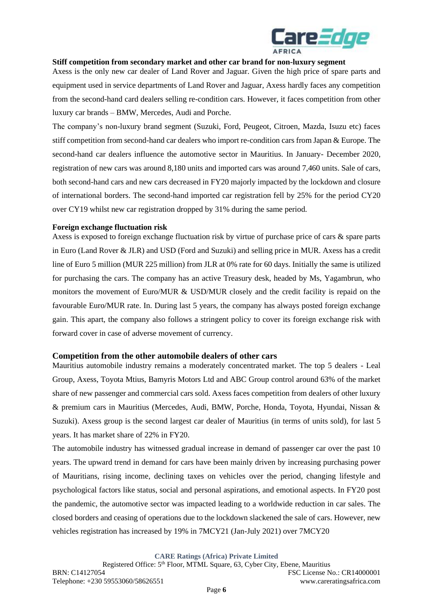

## **Stiff competition from secondary market and other car brand for non-luxury segment**

Axess is the only new car dealer of Land Rover and Jaguar. Given the high price of spare parts and equipment used in service departments of Land Rover and Jaguar, Axess hardly faces any competition from the second-hand card dealers selling re-condition cars. However, it faces competition from other luxury car brands – BMW, Mercedes, Audi and Porche.

The company's non-luxury brand segment (Suzuki, Ford, Peugeot, Citroen, Mazda, Isuzu etc) faces stiff competition from second-hand car dealers who import re-condition cars from Japan & Europe. The second-hand car dealers influence the automotive sector in Mauritius. In January- December 2020, registration of new cars was around 8,180 units and imported cars was around 7,460 units. Sale of cars, both second-hand cars and new cars decreased in FY20 majorly impacted by the lockdown and closure of international borders. The second-hand imported car registration fell by 25% for the period CY20 over CY19 whilst new car registration dropped by 31% during the same period.

# **Foreign exchange fluctuation risk**

Axess is exposed to foreign exchange fluctuation risk by virtue of purchase price of cars & spare parts in Euro (Land Rover & JLR) and USD (Ford and Suzuki) and selling price in MUR. Axess has a credit line of Euro 5 million (MUR 225 million) from JLR at 0% rate for 60 days. Initially the same is utilized for purchasing the cars. The company has an active Treasury desk, headed by Ms, Yagambrun, who monitors the movement of Euro/MUR & USD/MUR closely and the credit facility is repaid on the favourable Euro/MUR rate. In. During last 5 years, the company has always posted foreign exchange gain. This apart, the company also follows a stringent policy to cover its foreign exchange risk with forward cover in case of adverse movement of currency.

#### **Competition from the other automobile dealers of other cars**

Mauritius automobile industry remains a moderately concentrated market. The top 5 dealers - Leal Group, Axess, Toyota Mtius, Bamyris Motors Ltd and ABC Group control around 63% of the market share of new passenger and commercial cars sold. Axess faces competition from dealers of other luxury & premium cars in Mauritius (Mercedes, Audi, BMW, Porche, Honda, Toyota, Hyundai, Nissan & Suzuki). Axess group is the second largest car dealer of Mauritius (in terms of units sold), for last 5 years. It has market share of 22% in FY20.

The automobile industry has witnessed gradual increase in demand of passenger car over the past 10 years. The upward trend in demand for cars have been mainly driven by increasing purchasing power of Mauritians, rising income, declining taxes on vehicles over the period, changing lifestyle and psychological factors like status, social and personal aspirations, and emotional aspects. In FY20 post the pandemic, the automotive sector was impacted leading to a worldwide reduction in car sales. The closed borders and ceasing of operations due to the lockdown slackened the sale of cars. However, new vehicles registration has increased by 19% in 7MCY21 (Jan-July 2021) over 7MCY20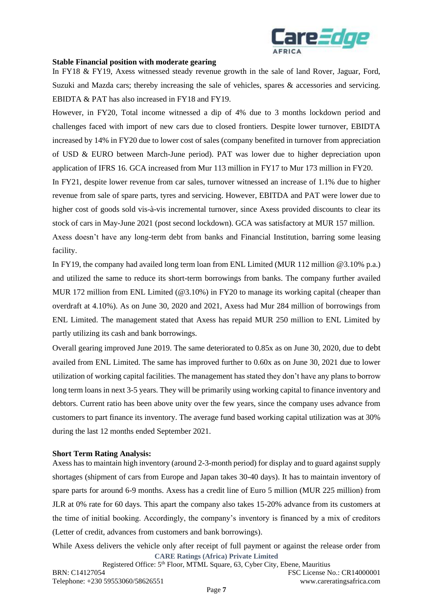

#### **Stable Financial position with moderate gearing**

In FY18 & FY19, Axess witnessed steady revenue growth in the sale of land Rover, Jaguar, Ford, Suzuki and Mazda cars; thereby increasing the sale of vehicles, spares & accessories and servicing. EBIDTA & PAT has also increased in FY18 and FY19.

However, in FY20, Total income witnessed a dip of 4% due to 3 months lockdown period and challenges faced with import of new cars due to closed frontiers. Despite lower turnover, EBIDTA increased by 14% in FY20 due to lower cost of sales (company benefited in turnover from appreciation of USD & EURO between March-June period). PAT was lower due to higher depreciation upon application of IFRS 16. GCA increased from Mur 113 million in FY17 to Mur 173 million in FY20.

In FY21, despite lower revenue from car sales, turnover witnessed an increase of 1.1% due to higher revenue from sale of spare parts, tyres and servicing. However, EBITDA and PAT were lower due to higher cost of goods sold vis-à-vis incremental turnover, since Axess provided discounts to clear its stock of cars in May-June 2021 (post second lockdown). GCA was satisfactory at MUR 157 million.

Axess doesn't have any long-term debt from banks and Financial Institution, barring some leasing facility.

In FY19, the company had availed long term loan from ENL Limited (MUR 112 million @3.10% p.a.) and utilized the same to reduce its short-term borrowings from banks. The company further availed MUR 172 million from ENL Limited (@3.10%) in FY20 to manage its working capital (cheaper than overdraft at 4.10%). As on June 30, 2020 and 2021, Axess had Mur 284 million of borrowings from ENL Limited. The management stated that Axess has repaid MUR 250 million to ENL Limited by partly utilizing its cash and bank borrowings.

Overall gearing improved June 2019. The same deteriorated to 0.85x as on June 30, 2020, due to debt availed from ENL Limited. The same has improved further to 0.60x as on June 30, 2021 due to lower utilization of working capital facilities. The management has stated they don't have any plans to borrow long term loans in next 3-5 years. They will be primarily using working capital to finance inventory and debtors. Current ratio has been above unity over the few years, since the company uses advance from customers to part finance its inventory. The average fund based working capital utilization was at 30% during the last 12 months ended September 2021.

## **Short Term Rating Analysis:**

Axess has to maintain high inventory (around 2-3-month period) for display and to guard against supply shortages (shipment of cars from Europe and Japan takes 30-40 days). It has to maintain inventory of spare parts for around 6-9 months. Axess has a credit line of Euro 5 million (MUR 225 million) from JLR at 0% rate for 60 days. This apart the company also takes 15-20% advance from its customers at the time of initial booking. Accordingly, the company's inventory is financed by a mix of creditors (Letter of credit, advances from customers and bank borrowings).

**CARE Ratings (Africa) Private Limited** While Axess delivers the vehicle only after receipt of full payment or against the release order from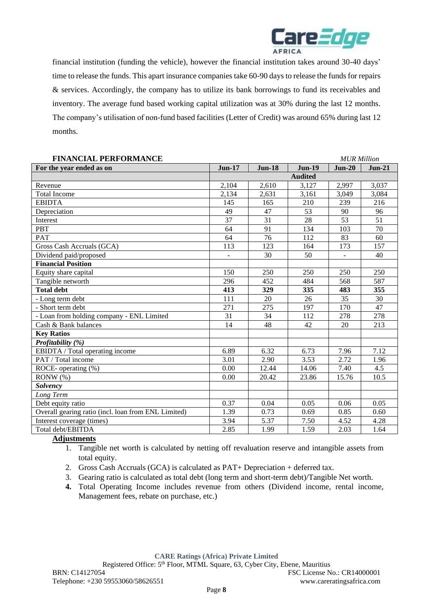

financial institution (funding the vehicle), however the financial institution takes around 30-40 days' time to release the funds. This apart insurance companies take 60-90 days to release the funds for repairs & services. Accordingly, the company has to utilize its bank borrowings to fund its receivables and inventory. The average fund based working capital utilization was at 30% during the last 12 months. The company's utilisation of non-fund based facilities (Letter of Credit) was around 65% during last 12 months.

| <b>FINANCIAL PERFORMANCE</b>                        |                |               |                | <b>MUR Million</b> |          |
|-----------------------------------------------------|----------------|---------------|----------------|--------------------|----------|
| For the year ended as on                            | $Jun-17$       | <b>Jun-18</b> | $Jun-19$       | $Jun-20$           | $Jun-21$ |
|                                                     |                |               | <b>Audited</b> |                    |          |
| Revenue                                             | 2,104          | 2,610         | 3,127          | 2,997              | 3,037    |
| <b>Total Income</b>                                 | 2,134          | 2,631         | 3,161          | 3,049              | 3,084    |
| <b>EBIDTA</b>                                       | 145            | 165           | 210            | 239                | 216      |
| Depreciation                                        | 49             | 47            | 53             | 90                 | 96       |
| Interest                                            | 37             | 31            | 28             | 53                 | 51       |
| <b>PBT</b>                                          | 64             | 91            | 134            | 103                | 70       |
| <b>PAT</b>                                          | 64             | 76            | 112            | 83                 | 60       |
| Gross Cash Accruals (GCA)                           | 113            | 123           | 164            | 173                | 157      |
| Dividend paid/proposed                              | $\blacksquare$ | 30            | 50             | $\blacksquare$     | 40       |
| <b>Financial Position</b>                           |                |               |                |                    |          |
| Equity share capital                                | 150            | 250           | 250            | 250                | 250      |
| Tangible networth                                   | 296            | 452           | 484            | 568                | 587      |
| <b>Total debt</b>                                   | 413            | 329           | 335            | 483                | 355      |
| - Long term debt                                    | 111            | 20            | 26             | 35                 | 30       |
| - Short term debt                                   | 271            | 275           | 197            | 170                | 47       |
| - Loan from holding company - ENL Limited           | 31             | 34            | 112            | 278                | 278      |
| Cash & Bank balances                                | 14             | 48            | 42             | 20                 | 213      |
| <b>Key Ratios</b>                                   |                |               |                |                    |          |
| Profitability (%)                                   |                |               |                |                    |          |
| EBIDTA / Total operating income                     | 6.89           | 6.32          | 6.73           | 7.96               | 7.12     |
| PAT / Total income                                  | 3.01           | 2.90          | 3.53           | 2.72               | 1.96     |
| ROCE- operating $(\%)$                              | 0.00           | 12.44         | 14.06          | 7.40               | 4.5      |
| $RONW(\%)$                                          | 0.00           | 20.42         | 23.86          | 15.76              | 10.5     |
| <b>Solvency</b>                                     |                |               |                |                    |          |
| Long Term                                           |                |               |                |                    |          |
| Debt equity ratio                                   | 0.37           | 0.04          | 0.05           | 0.06               | 0.05     |
| Overall gearing ratio (incl. loan from ENL Limited) | 1.39           | 0.73          | 0.69           | 0.85               | 0.60     |
| Interest coverage (times)                           | 3.94           | 5.37          | 7.50           | 4.52               | 4.28     |
| Total debt/EBITDA                                   | 2.85           | 1.99          | 1.59           | 2.03               | 1.64     |

# **Adjustments**

- 1. Tangible net worth is calculated by netting off revaluation reserve and intangible assets from total equity.
- 2. Gross Cash Accruals (GCA) is calculated as PAT+ Depreciation + deferred tax.
- 3. Gearing ratio is calculated as total debt (long term and short-term debt)/Tangible Net worth.
- **4.** Total Operating Income includes revenue from others (Dividend income, rental income, Management fees, rebate on purchase, etc.)